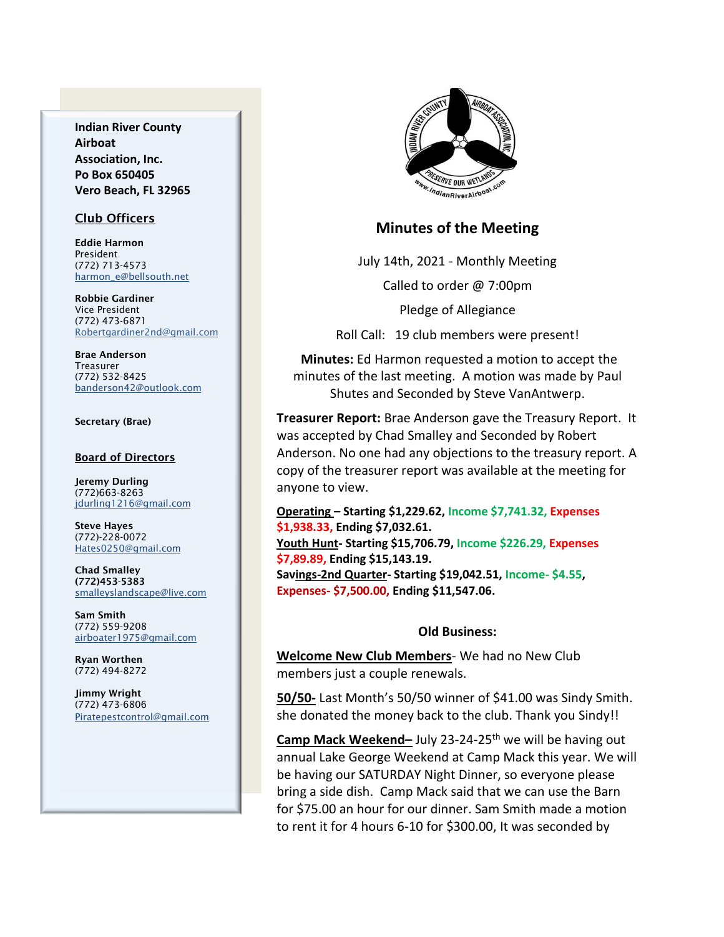**Indian River County Airboat Association, Inc. Po Box 650405 Vero Beach, FL 32965**

### Club Officers

Eddie Harmon President (772) 713-4573 [harmon\\_e@bellsouth.net](mailto:dougflood772@aol.com)

Robbie Gardiner Vice President (772) 473-6871 [Robertgardiner2nd@gmail.com](mailto:Robertgardiner2nd@gmail.com)

Brae Anderson Treasurer (772) 532-8425 [banderson42@outlook.com](mailto:banderson42@outlook.com)

#### Secretary (Brae)

#### Board of Directors

Jeremy Durling (772)663-8263 [jdurling1216@gmail.com](mailto:shufamil@peoplepc.com)

Steve Hayes (772)-228-0072 Hates0250@gmail.com

Chad Smalley (772)453-5383 smalleyslandscape@live.com

Sam Smith (772) 559-9208 [airboater1975@gmail.com](mailto:Airboater22@gmail.com)

Ryan Worthen (772) 494-8272

Jimmy Wright (772) 473-6806 Piratepestcontrol@gmail.com



### **Minutes of the Meeting**

July 14th, 2021 - Monthly Meeting

Called to order @ 7:00pm

Pledge of Allegiance

Roll Call: 19 club members were present!

**Minutes:** Ed Harmon requested a motion to accept the minutes of the last meeting. A motion was made by Paul Shutes and Seconded by Steve VanAntwerp.

**Treasurer Report:** Brae Anderson gave the Treasury Report. It was accepted by Chad Smalley and Seconded by Robert Anderson. No one had any objections to the treasury report. A copy of the treasurer report was available at the meeting for anyone to view.

**Operating – Starting \$1,229.62, Income \$7,741.32, Expenses \$1,938.33, Ending \$7,032.61. Youth Hunt- Starting \$15,706.79, Income \$226.29, Expenses \$7,89.89, Ending \$15,143.19. Savings-2nd Quarter- Starting \$19,042.51, Income- \$4.55, Expenses- \$7,500.00, Ending \$11,547.06.**

### **Old Business:**

**Welcome New Club Members**- We had no New Club members just a couple renewals.

**50/50-** Last Month's 50/50 winner of \$41.00 was Sindy Smith. she donated the money back to the club. Thank you Sindy!!

**Camp Mack Weekend-** July 23-24-25<sup>th</sup> we will be having out annual Lake George Weekend at Camp Mack this year. We will be having our SATURDAY Night Dinner, so everyone please bring a side dish. Camp Mack said that we can use the Barn for \$75.00 an hour for our dinner. Sam Smith made a motion to rent it for 4 hours 6-10 for \$300.00, It was seconded by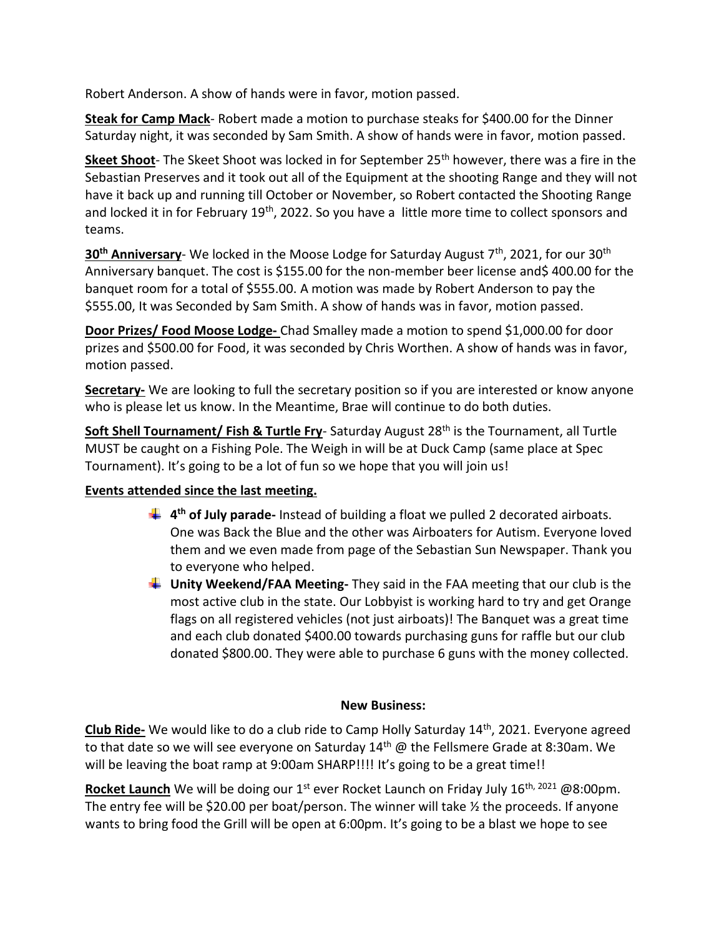Robert Anderson. A show of hands were in favor, motion passed.

**Steak for Camp Mack**- Robert made a motion to purchase steaks for \$400.00 for the Dinner Saturday night, it was seconded by Sam Smith. A show of hands were in favor, motion passed.

**Skeet Shoot**- The Skeet Shoot was locked in for September 25<sup>th</sup> however, there was a fire in the Sebastian Preserves and it took out all of the Equipment at the shooting Range and they will not have it back up and running till October or November, so Robert contacted the Shooting Range and locked it in for February 19<sup>th</sup>, 2022. So you have a little more time to collect sponsors and teams.

**30th Anniversary**- We locked in the Moose Lodge for Saturday August 7th , 2021, for our 30th Anniversary banquet. The cost is \$155.00 for the non-member beer license and\$ 400.00 for the banquet room for a total of \$555.00. A motion was made by Robert Anderson to pay the \$555.00, It was Seconded by Sam Smith. A show of hands was in favor, motion passed.

**Door Prizes/ Food Moose Lodge-** Chad Smalley made a motion to spend \$1,000.00 for door prizes and \$500.00 for Food, it was seconded by Chris Worthen. A show of hands was in favor, motion passed.

**Secretary-** We are looking to full the secretary position so if you are interested or know anyone who is please let us know. In the Meantime, Brae will continue to do both duties.

**Soft Shell Tournament/ Fish & Turtle Fry-** Saturday August 28<sup>th</sup> is the Tournament, all Turtle MUST be caught on a Fishing Pole. The Weigh in will be at Duck Camp (same place at Spec Tournament). It's going to be a lot of fun so we hope that you will join us!

# **Events attended since the last meeting.**

- **4 th of July parade-** Instead of building a float we pulled 2 decorated airboats. One was Back the Blue and the other was Airboaters for Autism. Everyone loved them and we even made from page of the Sebastian Sun Newspaper. Thank you to everyone who helped.
- **Unity Weekend/FAA Meeting-** They said in the FAA meeting that our club is the most active club in the state. Our Lobbyist is working hard to try and get Orange flags on all registered vehicles (not just airboats)! The Banquet was a great time and each club donated \$400.00 towards purchasing guns for raffle but our club donated \$800.00. They were able to purchase 6 guns with the money collected.

# **New Business:**

**Club Ride-** We would like to do a club ride to Camp Holly Saturday 14th, 2021. Everyone agreed to that date so we will see everyone on Saturday  $14<sup>th</sup>$  @ the Fellsmere Grade at 8:30am. We will be leaving the boat ramp at 9:00am SHARP!!!! It's going to be a great time!!

Rocket Launch We will be doing our 1<sup>st</sup> ever Rocket Launch on Friday July 16<sup>th, 2021</sup> @8:00pm. The entry fee will be \$20.00 per boat/person. The winner will take ½ the proceeds. If anyone wants to bring food the Grill will be open at 6:00pm. It's going to be a blast we hope to see